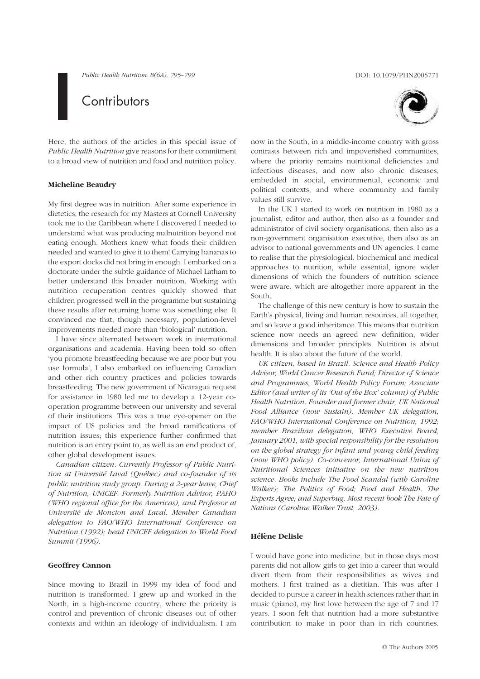Public Health Nutrition: 8(6A), 795–799 DOI: 10.1079/PHN2005771

# **Contributors**

Here, the authors of the articles in this special issue of Public Health Nutrition give reasons for their commitment to a broad view of nutrition and food and nutrition policy.

#### Micheline Beaudry

My first degree was in nutrition. After some experience in dietetics, the research for my Masters at Cornell University took me to the Caribbean where I discovered I needed to understand what was producing malnutrition beyond not eating enough. Mothers knew what foods their children needed and wanted to give it to them! Carrying bananas to the export docks did not bring in enough. I embarked on a doctorate under the subtle guidance of Michael Latham to better understand this broader nutrition. Working with nutrition recuperation centres quickly showed that children progressed well in the programme but sustaining these results after returning home was something else. It convinced me that, though necessary, population-level improvements needed more than 'biological' nutrition.

I have since alternated between work in international organisations and academia. Having been told so often 'you promote breastfeeding because we are poor but you use formula', I also embarked on influencing Canadian and other rich country practices and policies towards breastfeeding. The new government of Nicaragua request for assistance in 1980 led me to develop a 12-year cooperation programme between our university and several of their institutions. This was a true eye-opener on the impact of US policies and the broad ramifications of nutrition issues; this experience further confirmed that nutrition is an entry point to, as well as an end product of, other global development issues.

Canadian citizen. Currently Professor of Public Nutrition at Université Laval (Québec) and co-founder of its public nutrition study group. During a 2-year leave, Chief of Nutrition, UNICEF. Formerly Nutrition Advisor, PAHO (WHO regional office for the Americas), and Professor at Université de Moncton and Laval. Member Canadian delegation to FAO/WHO International Conference on Nutrition (1992); head UNICEF delegation to World Food Summit (1996).

#### Geoffrey Cannon

Since moving to Brazil in 1999 my idea of food and nutrition is transformed. I grew up and worked in the North, in a high-income country, where the priority is control and prevention of chronic diseases out of other contexts and within an ideology of individualism. I am



now in the South, in a middle-income country with gross contrasts between rich and impoverished communities, where the priority remains nutritional deficiencies and infectious diseases, and now also chronic diseases, embedded in social, environmental, economic and political contexts, and where community and family values still survive.

In the UK I started to work on nutrition in 1980 as a journalist, editor and author, then also as a founder and administrator of civil society organisations, then also as a non-government organisation executive, then also as an advisor to national governments and UN agencies. I came to realise that the physiological, biochemical and medical approaches to nutrition, while essential, ignore wider dimensions of which the founders of nutrition science were aware, which are altogether more apparent in the South.

The challenge of this new century is how to sustain the Earth's physical, living and human resources, all together, and so leave a good inheritance. This means that nutrition science now needs an agreed new definition, wider dimensions and broader principles. Nutrition is about health. It is also about the future of the world.

UK citizen, based in Brazil. Science and Health Policy Advisor, World Cancer Research Fund; Director of Science and Programmes, World Health Policy Forum; Associate Editor (and writer of its 'Out of the Box' column) of Public Health Nutrition. Founder and former chair, UK National Food Alliance (now Sustain). Member UK delegation, FAO/WHO International Conference on Nutrition, 1992; member Brazilian delegation, WHO Executive Board, January 2001, with special responsibility for the resolution on the global strategy for infant and young child feeding (now WHO policy). Co-convenor, International Union of Nutritional Sciences initiative on the new nutrition science. Books include The Food Scandal (with Caroline Walker); The Politics of Food; Food and Health. The Experts Agree; and Superbug. Most recent book The Fate of Nations (Caroline Walker Trust, 2003).

### Hélène Delisle

I would have gone into medicine, but in those days most parents did not allow girls to get into a career that would divert them from their responsibilities as wives and mothers. I first trained as a dietitian. This was after I decided to pursue a career in health sciences rather than in music (piano), my first love between the age of 7 and 17 years. I soon felt that nutrition had a more substantive contribution to make in poor than in rich countries.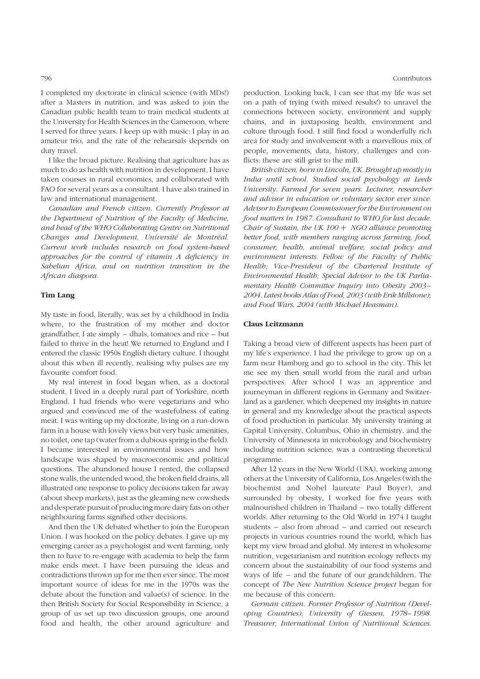I completed my doctorate in clinical science (with MDs!) after a Masters in nutrition, and was asked to join the Canadian public health team to train medical students at the University for Health Sciences in the Cameroon, where I served for three years. I keep up with music: I play in an amateur trio, and the rate of the rehearsals depends on duty travel.

I like the broad picture. Realising that agriculture has as much to do as health with nutrition in development, I have taken courses in rural economics, and collaborated with FAO for several years as a consultant. I have also trained in law and international management.

Canadian and French citizen. Currently Professor at the Department of Nutrition of the Faculty of Medicine, and head of the WHO Collaborating Centre on Nutritional Changes and Development, Université de Montréal. Current work includes research on food system-based approaches for the control of vitamin A deficiency in Sahelian Africa, and on nutrition transition in the African diaspora.

#### Tim Lang

My taste in food, literally, was set by a childhood in India where, to the frustration of my mother and doctor grandfather, I ate simply – dhals, tomatoes and rice – but failed to thrive in the heat! We returned to England and I entered the classic 1950s English dietary culture. I thought about this when ill recently, realising why pulses are my favourite comfort food.

My real interest in food began when, as a doctoral student, I lived in a deeply rural part of Yorkshire, north England. I had friends who were vegetarians and who argued and convinced me of the wastefulness of eating meat. I was writing up my doctorate, living on a run-down farm in a house with lovely views but very basic amenities, no toilet, one tap (water from a dubious spring in the field). I became interested in environmental issues and how landscape was shaped by macroeconomic and political questions. The abandoned house I rented, the collapsed stone walls, the untended wood, the broken field drains, all illustrated one response to policy decisions taken far away (about sheep markets), just as the gleaming new cowsheds and desperate pursuit of producing more dairy fats on other neighbouring farms signified other decisions.

And then the UK debated whether to join the European Union. I was hooked on the policy debates. I gave up my emerging career as a psychologist and went farming, only then to have to re-engage with academia to help the farm make ends meet. I have been pursuing the ideas and contradictions thrown up for me then ever since. The most important source of ideas for me in the 1970s was the debate about the function and value(s) of science. In the then British Society for Social Responsibility in Science, a group of us set up two discussion groups, one around food and health, the other around agriculture and production. Looking back, I can see that my life was set on a path of trying (with mixed results!) to unravel the connections between society, environment and supply chains, and in juxtaposing health, environment and culture through food. I still find food a wonderfully rich area for study and involvement with a marvellous mix of people, movements, data, history, challenges and conflicts; these are still grist to the mill.

British citizen, born in Lincoln, UK. Brought up mostly in India until school. Studied social psychology at Leeds University. Farmed for seven years. Lecturer, researcher and advisor in education or voluntary sector ever since. Advisor to European Commissioner for the Environment on food matters in 1987. Consultant to WHO for last decade. Chair of Sustain, the UK  $100 + NGO$  alliance promoting better food, with members ranging across farming, food, consumer, health, animal welfare, social policy and environment interests. Fellow of the Faculty of Public Health; Vice-President of the Chartered Institute of Environmental Health; Special Advisor to the UK Parliamentary Health Committee Inquiry into Obesity 2003– 2004. Latest books Atlas of Food, 2003 (with Erik Millstone); and Food Wars, 2004 (with Michael Heasman).

#### Claus Leitzmann

Taking a broad view of different aspects has been part of my life's experience. I had the privilege to grow up on a farm near Hamburg and go to school in the city. This let me see my then small world from the rural and urban perspectives. After school I was an apprentice and journeyman in different regions in Germany and Switzerland as a gardener, which deepened my insights in nature in general and my knowledge about the practical aspects of food production in particular. My university training at Capital University, Columbus, Ohio in chemistry, and the University of Minnesota in microbiology and biochemistry including nutrition science, was a contrasting theoretical programme.

After 12 years in the New World (USA), working among others at the University of California, Los Angeles (with the biochemist and Nobel laureate Paul Boyer), and surrounded by obesity, I worked for five years with malnourished children in Thailand – two totally different worlds. After returning to the Old World in 1974 I taught students – also from abroad – and carried out research projects in various countries round the world, which has kept my view broad and global. My interest in wholesome nutrition, vegetarianism and nutrition ecology reflects my concern about the sustainability of our food systems and ways of life – and the future of our grandchildren. The concept of The New Nutrition Science project began for me because of this concern.

German citizen. Former Professor of Nutrition (Developing Countries), University of Giessen, 1978–1998. Treasurer, International Union of Nutritional Sciences.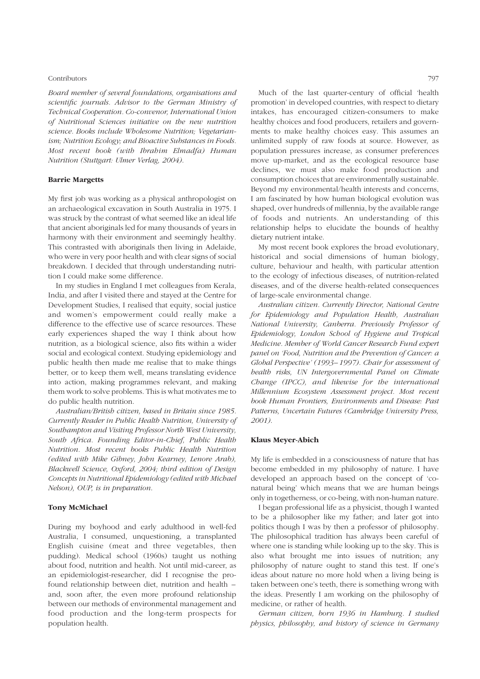#### Contributors 797

Board member of several foundations, organisations and scientific journals. Advisor to the German Ministry of Technical Cooperation. Co-convenor, International Union of Nutritional Sciences initiative on the new nutrition science. Books include Wholesome Nutrition; Vegetarianism; Nutrition Ecology; and Bioactive Substances in Foods. Most recent book (with Ibrahim Elmadfa) Human Nutrition (Stuttgart: Ulmer Verlag, 2004).

# Barrie Margetts

My first job was working as a physical anthropologist on an archaeological excavation in South Australia in 1975. I was struck by the contrast of what seemed like an ideal life that ancient aboriginals led for many thousands of years in harmony with their environment and seemingly healthy. This contrasted with aboriginals then living in Adelaide, who were in very poor health and with clear signs of social breakdown. I decided that through understanding nutrition I could make some difference.

In my studies in England I met colleagues from Kerala, India, and after I visited there and stayed at the Centre for Development Studies, I realised that equity, social justice and women's empowerment could really make a difference to the effective use of scarce resources. These early experiences shaped the way I think about how nutrition, as a biological science, also fits within a wider social and ecological context. Studying epidemiology and public health then made me realise that to make things better, or to keep them well, means translating evidence into action, making programmes relevant, and making them work to solve problems. This is what motivates me to do public health nutrition.

Australian/British citizen, based in Britain since 1985. Currently Reader in Public Health Nutrition, University of Southampton and Visiting Professor North West University, South Africa. Founding Editor-in-Chief, Public Health Nutrition. Most recent books Public Health Nutrition (edited with Mike Gibney, John Kearney, Lenore Arab), Blackwell Science, Oxford, 2004; third edition of Design Concepts in Nutritional Epidemiology (edited with Michael Nelson), OUP, is in preparation.

# Tony McMichael

During my boyhood and early adulthood in well-fed Australia, I consumed, unquestioning, a transplanted English cuisine (meat and three vegetables, then pudding). Medical school (1960s) taught us nothing about food, nutrition and health. Not until mid-career, as an epidemiologist-researcher, did I recognise the profound relationship between diet, nutrition and health – and, soon after, the even more profound relationship between our methods of environmental management and food production and the long-term prospects for population health.

Much of the last quarter-century of official 'health promotion' in developed countries, with respect to dietary intakes, has encouraged citizen-consumers to make healthy choices and food producers, retailers and governments to make healthy choices easy. This assumes an unlimited supply of raw foods at source. However, as population pressures increase, as consumer preferences move up-market, and as the ecological resource base declines, we must also make food production and consumption choices that are environmentally sustainable. Beyond my environmental/health interests and concerns, I am fascinated by how human biological evolution was shaped, over hundreds of millennia, by the available range of foods and nutrients. An understanding of this relationship helps to elucidate the bounds of healthy dietary nutrient intake.

My most recent book explores the broad evolutionary, historical and social dimensions of human biology, culture, behaviour and health, with particular attention to the ecology of infectious diseases, of nutrition-related diseases, and of the diverse health-related consequences of large-scale environmental change.

Australian citizen. Currently Director, National Centre for Epidemiology and Population Health, Australian National University, Canberra. Previously Professor of Epidemiology, London School of Hygiene and Tropical Medicine. Member of World Cancer Research Fund expert panel on 'Food, Nutrition and the Prevention of Cancer: a Global Perspective' (1993–1997). Chair for assessment of health risks, UN Intergovernmental Panel on Climate Change (IPCC), and likewise for the international Millennium Ecosystem Assessment project. Most recent book Human Frontiers, Environments and Disease: Past Patterns, Uncertain Futures (Cambridge University Press, 2001).

### Klaus Meyer-Abich

My life is embedded in a consciousness of nature that has become embedded in my philosophy of nature. I have developed an approach based on the concept of 'conatural being' which means that we are human beings only in togetherness, or co-being, with non-human nature.

I began professional life as a physicist, though I wanted to be a philosopher like my father; and later got into politics though I was by then a professor of philosophy. The philosophical tradition has always been careful of where one is standing while looking up to the sky. This is also what brought me into issues of nutrition; any philosophy of nature ought to stand this test. If one's ideas about nature no more hold when a living being is taken between one's teeth, there is something wrong with the ideas. Presently I am working on the philosophy of medicine, or rather of health.

German citizen, born 1936 in Hamburg. I studied physics, philosophy, and history of science in Germany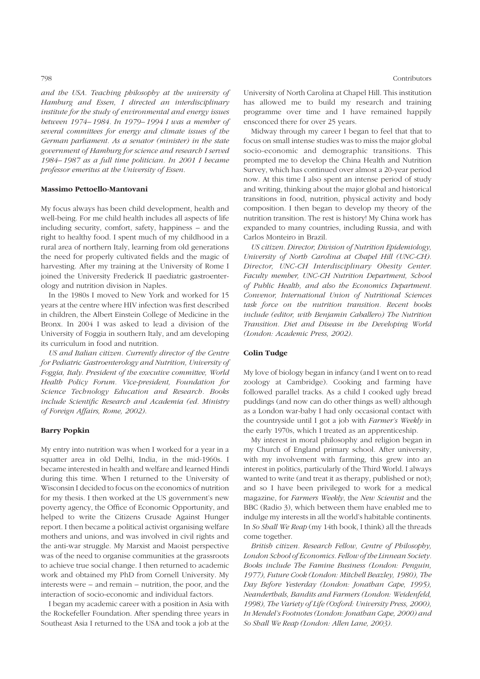and the USA. Teaching philosophy at the university of Hamburg and Essen, I directed an interdisciplinary institute for the study of environmental and energy issues between 1974–1984. In 1979–1994 I was a member of several committees for energy and climate issues of the German parliament. As a senator (minister) in the state government of Hamburg for science and research I served 1984–1987 as a full time politician. In 2001 I became professor emeritus at the University of Essen.

### Massimo Pettoello-Mantovani

My focus always has been child development, health and well-being. For me child health includes all aspects of life including security, comfort, safety, happiness – and the right to healthy food. I spent much of my childhood in a rural area of northern Italy, learning from old generations the need for properly cultivated fields and the magic of harvesting. After my training at the University of Rome I joined the University Frederick II paediatric gastroenterology and nutrition division in Naples.

In the 1980s I moved to New York and worked for 15 years at the centre where HIV infection was first described in children, the Albert Einstein College of Medicine in the Bronx. In 2004 I was asked to lead a division of the University of Foggia in southern Italy, and am developing its curriculum in food and nutrition.

US and Italian citizen. Currently director of the Centre for Pediatric Gastroenterology and Nutrition, University of Foggia, Italy. President of the executive committee, World Health Policy Forum. Vice-president, Foundation for Science Technology Education and Research. Books include Scientific Research and Academia (ed. Ministry of Foreign Affairs, Rome, 2002).

## Barry Popkin

My entry into nutrition was when I worked for a year in a squatter area in old Delhi, India, in the mid-1960s. I became interested in health and welfare and learned Hindi during this time. When I returned to the University of Wisconsin I decided to focus on the economics of nutrition for my thesis. I then worked at the US government's new poverty agency, the Office of Economic Opportunity, and helped to write the Citizens Crusade Against Hunger report. I then became a political activist organising welfare mothers and unions, and was involved in civil rights and the anti-war struggle. My Marxist and Maoist perspective was of the need to organise communities at the grassroots to achieve true social change. I then returned to academic work and obtained my PhD from Cornell University. My interests were – and remain – nutrition, the poor, and the interaction of socio-economic and individual factors.

I began my academic career with a position in Asia with the Rockefeller Foundation. After spending three years in Southeast Asia I returned to the USA and took a job at the University of North Carolina at Chapel Hill. This institution has allowed me to build my research and training programme over time and I have remained happily ensconced there for over 25 years.

Midway through my career I began to feel that that to focus on small intense studies was to miss the major global socio-economic and demographic transitions. This prompted me to develop the China Health and Nutrition Survey, which has continued over almost a 20-year period now. At this time I also spent an intense period of study and writing, thinking about the major global and historical transitions in food, nutrition, physical activity and body composition. I then began to develop my theory of the nutrition transition. The rest is history! My China work has expanded to many countries, including Russia, and with Carlos Monteiro in Brazil.

US citizen. Director, Division of Nutrition Epidemiology, University of North Carolina at Chapel Hill (UNC-CH). Director, UNC-CH Interdisciplinary Obesity Center. Faculty member, UNC-CH Nutrition Department, School of Public Health, and also the Economics Department. Convenor, International Union of Nutritional Sciences task force on the nutrition transition. Recent books include (editor, with Benjamin Caballero) The Nutrition Transition. Diet and Disease in the Developing World (London: Academic Press, 2002).

#### Colin Tudge

My love of biology began in infancy (and I went on to read zoology at Cambridge). Cooking and farming have followed parallel tracks. As a child I cooked ugly bread puddings (and now can do other things as well) although as a London war-baby I had only occasional contact with the countryside until I got a job with Farmer's Weekly in the early 1970s, which I treated as an apprenticeship.

My interest in moral philosophy and religion began in my Church of England primary school. After university, with my involvement with farming, this grew into an interest in politics, particularly of the Third World. I always wanted to write (and treat it as therapy, published or not); and so I have been privileged to work for a medical magazine, for Farmers Weekly, the New Scientist and the BBC (Radio 3), which between them have enabled me to indulge my interests in all the world's habitable continents. In So Shall We Reap (my 14th book, I think) all the threads come together.

British citizen. Research Fellow, Centre of Philosophy, London School of Economics. Fellow of the Linnean Society. Books include The Famine Business (London: Penguin, 1977), Future Cook (London: Mitchell Beazley, 1980), The Day Before Yesterday (London: Jonathan Cape, 1995), Neanderthals, Bandits and Farmers (London: Weidenfeld, 1998), The Variety of Life (Oxford: University Press, 2000), In Mendel's Footnotes (London: Jonathan Cape, 2000) and So Shall We Reap (London: Allen Lane, 2003).